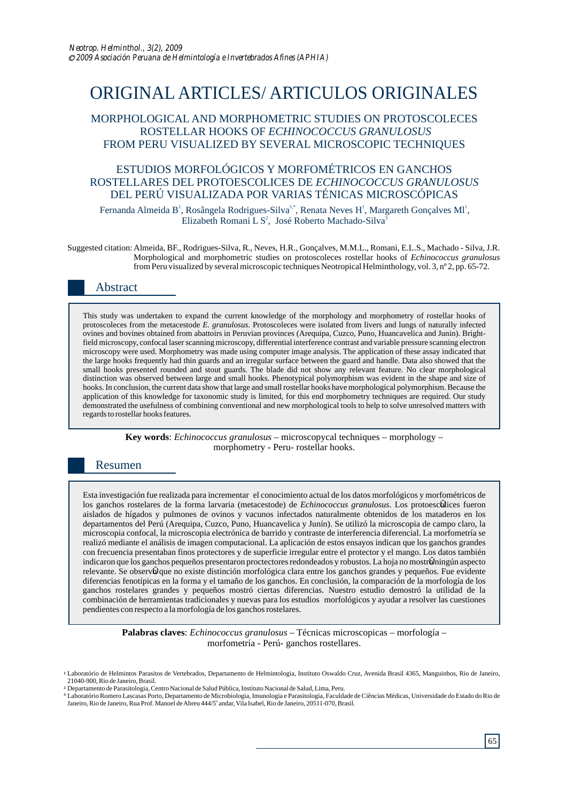# ORIGINAL ARTICLES/ ARTICULOS ORIGINALES

## MORPHOLOGICAL AND MORPHOMETRIC STUDIES ON PROTOSCOLECES ROSTELLAR HOOKS OF *ECHINOCOCCUS GRANULOSUS*  FROM PERU VISUALIZED BY SEVERAL MICROSCOPIC TECHNIQUES

## ESTUDIOS MORFOLÓGICOS Y MORFOMÉTRICOS EN GANCHOS ROSTELLARES DEL PROTOESCOLICES DE *ECHINOCOCCUS GRANULOSUS* DEL PERÚ VISUALIZADA POR VARIAS TÉNICAS MICROSCÓPICAS

Fernanda Almeida B<sup>1</sup>, Rosângela Rodrigues-Silva<sup>1,\*</sup>, Renata Neves H<sup>1</sup>, Margareth Gonçalves M1<sup>1</sup>, Elizabeth Romani L  $S^2$ , José Roberto Machado-Silva<sup>3</sup>

Suggested citation: Almeida, BF., Rodrigues-Silva, R., Neves, H.R., Gonçalves, M.M.L., Romani, E.L.S., Machado - Silva, J.R. Morphological and morphometric studies on protoscoleces rostellar hooks of *Echinococcus granulosus*  from Peru visualized by several microscopic techniques Neotropical Helminthology, vol. 3, nº 2, pp. 65-72.

# Abstract

This study was undertaken to expand the current knowledge of the morphology and morphometry of rostellar hooks of protoscoleces from the metacestode *E. granulosus*. Protoscoleces were isolated from livers and lungs of naturally infected ovines and bovines obtained from abattoirs in Peruvian provinces (Arequipa, Cuzco, Puno, Huancavelica and Junin). Brightfield microscopy, confocal laser scanning microscopy, differential interference contrast and variable pressure scanning electron microscopy were used. Morphometry was made using computer image analysis. The application of these assay indicated that the large hooks frequently had thin guards and an irregular surface between the guard and handle. Data also showed that the small hooks presented rounded and stout guards. The blade did not show any relevant feature. No clear morphological distinction was observed between large and small hooks. Phenotypical polymorphism was evident in the shape and size of hooks. In conclusion, the current data show that large and small rostellar hooks have morphological polymorphism. Because the application of this knowledge for taxonomic study is limited, for this end morphometry techniques are required. Our study demonstrated the usefulness of combining conventional and new morphological tools to help to solve unresolved matters with regards to rostellar hooks features.

> **Key words**: *Echinococcus granulosus* – microscopycal techniques – morphology – morphometry - Peru- rostellar hooks.

## Resumen

Esta investigación fue realizada para incrementar el conocimiento actual de los datos morfológicos y morfométricos de los ganchos rostelares de la forma larvaria (metacestode) de *Echinococcus granulosus*. Los protoescolices fueron aislados de hígados y pulmones de ovinos y vacunos infectados naturalmente obtenidos de los mataderos en los departamentos del Perú (Arequipa, Cuzco, Puno, Huancavelica y Junín). Se utilizó la microscopia de campo claro, la microscopia confocal, la microscopia electrónica de barrido y contraste de interferencia diferencial. La morfometría se realizó mediante el análisis de imagen computacional. La aplicación de estos ensayos indican que los ganchos grandes con frecuencia presentaban finos protectores y de superficie irregular entre el protector y el mango. Los datos también indicaron que los ganchos pequeños presentaron proctectores redondeados y robustos. La hoja no mostroÎningún aspecto relevante. Se observ $\hat{U}$ que no existe distinción morfológica clara entre los ganchos grandes y pequeños. Fue evidente diferencias fenotípicas en la forma y el tamaño de los ganchos. En conclusión, la comparación de la morfología de los ganchos rostelares grandes y pequeños mostró ciertas diferencias. Nuestro estudio demostró la utilidad de la combinación de herramientas tradicionales y nuevas para los estudios morfológicos y ayudar a resolver las cuestiones pendientes con respecto a la morfología de los ganchos rostelares.

**Palabras claves**: *Echinococcus granulosus* – Técnicas microscopicas – morfología – morfometría - Perú- ganchos rostellares.

<sup>2</sup> Departamento de Parasitologia, Centro Nacional de Salud Pública, Instituto Nacional de Salud, Lima, Peru.

Laboratório de Helmintos Parasitos de Vertebrados, Departamento de Helmintologia, Instituto Oswaldo Cruz, Avenida Brasil 4365, Manguinhos, Rio de Janeiro, **1** 21040-900, Rio de Janeiro, Brasil.

<sup>&</sup>lt;sup>3</sup> Laboratório Romero Lascasas Porto, Departamento de Microbiologia, Imunologia e Parasitologia, Faculdade de Ciências Médicas, Universidade do Estado do Rio de Janeiro, Rio de Janeiro, Rua Prof. Manoel de Abreu 444/5° andar, Vila Isabel, Rio de Janeiro, 20511-070, Brasil.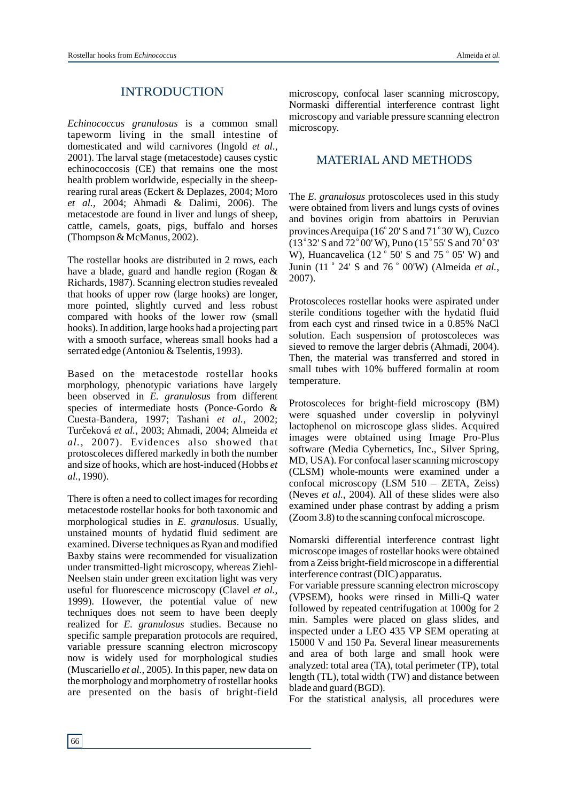#### INTRODUCTION

*Echinococcus granulosus* is a common small tapeworm living in the small intestine of domesticated and wild carnivores (Ingold *et al*., 2001). The larval stage (metacestode) causes cystic echinococcosis (CE) that remains one the most health problem worldwide, especially in the sheeprearing rural areas (Eckert & Deplazes, 2004; Moro *et al.,* 2004; Ahmadi & Dalimi, 2006). The metacestode are found in liver and lungs of sheep, cattle, camels, goats, pigs, buffalo and horses (Thompson & McManus, 2002).

The rostellar hooks are distributed in 2 rows, each have a blade, guard and handle region (Rogan & Richards, 1987). Scanning electron studies revealed that hooks of upper row (large hooks) are longer, more pointed, slightly curved and less robust compared with hooks of the lower row (small hooks). In addition, large hooks had a projecting part with a smooth surface, whereas small hooks had a serrated edge (Antoniou & Tselentis, 1993).

Based on the metacestode rostellar hooks morphology, phenotypic variations have largely been observed in *E. granulosus* from different species of intermediate hosts (Ponce-Gordo & Cuesta-Bandera, 1997; Tashani *et al.,* 2002; Tur eková et al., 2003; Ahmadi, 2004; Almeida et *al.,* 2007). Evidences also showed that protoscoleces differed markedly in both the number and size of hooks, which are host-induced (Hobbs *et al.,* 1990).

There is often a need to collect images for recording metacestode rostellar hooks for both taxonomic and morphological studies in *E. granulosus*. Usually, unstained mounts of hydatid fluid sediment are examined. Diverse techniques as Ryan and modified Baxby stains were recommended for visualization under transmitted-light microscopy, whereas Ziehl-Neelsen stain under green excitation light was very useful for fluorescence microscopy (Clavel *et al.,* 1999). However, the potential value of new techniques does not seem to have been deeply realized for *E. granulosus* studies. Because no specific sample preparation protocols are required, variable pressure scanning electron microscopy now is widely used for morphological studies (Muscariello *et al.,* 2005). In this paper, new data on the morphology and morphometry of rostellar hooks are presented on the basis of bright-field

microscopy, confocal laser scanning microscopy, Normaski differential interference contrast light microscopy and variable pressure scanning electron microscopy.

#### MATERIAL AND METHODS

The *E. granulosus* protoscoleces used in this study were obtained from livers and lungs cysts of ovines and bovines origin from abattoirs in Peruvian provinces Arequipa ( $16^{\circ}$  20' S and  $71^{\circ}$  30' W), Cuzco (13°32' S and 72°00' W), Puno (15°55' S and 70°03' W), Huancavelica (12 $\degree$  50' S and 75 $\degree$  05' W) and Junin (11 ° 24' S and 76 ° 00'W) (Almeida et al., 2007).

Protoscoleces rostellar hooks were aspirated under sterile conditions together with the hydatid fluid from each cyst and rinsed twice in a 0.85% NaCl solution. Each suspension of protoscoleces was sieved to remove the larger debris (Ahmadi, 2004). Then, the material was transferred and stored in small tubes with 10% buffered formalin at room temperature.

Protoscoleces for bright-field microscopy (BM) were squashed under coverslip in polyvinyl lactophenol on microscope glass slides. Acquired images were obtained using Image Pro-Plus software (Media Cybernetics, Inc., Silver Spring, MD, USA). For confocal laser scanning microscopy (CLSM) whole-mounts were examined under a confocal microscopy (LSM 510 – ZETA, Zeiss) (Neves *et al.,* 2004). All of these slides were also examined under phase contrast by adding a prism (Zoom 3.8) to the scanning confocal microscope.

Nomarski differential interference contrast light microscope images of rostellar hooks were obtained from a Zeiss bright-field microscope in a differential interference contrast (DIC) apparatus.

For variable pressure scanning electron microscopy (VPSEM), hooks were rinsed in Milli-Q water followed by repeated centrifugation at 1000g for 2 min. Samples were placed on glass slides, and inspected under a LEO 435 VP SEM operating at 15000 V and 150 Pa. Several linear measurements and area of both large and small hook were analyzed: total area (TA), total perimeter (TP), total length (TL), total width (TW) and distance between blade and guard (BGD).

For the statistical analysis, all procedures were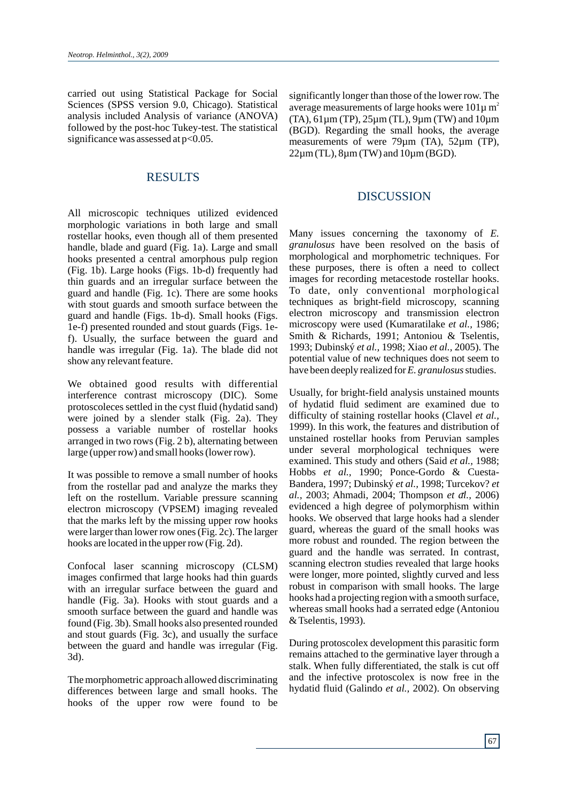carried out using Statistical Package for Social Sciences (SPSS version 9.0, Chicago). Statistical analysis included Analysis of variance (ANOVA) followed by the post-hoc Tukey-test. The statistical significance was assessed at  $p<0.05$ .

# RESULTS

All microscopic techniques utilized evidenced morphologic variations in both large and small rostellar hooks, even though all of them presented handle, blade and guard (Fig. 1a). Large and small hooks presented a central amorphous pulp region (Fig. 1b). Large hooks (Figs. 1b-d) frequently had thin guards and an irregular surface between the guard and handle (Fig. 1c). There are some hooks with stout guards and smooth surface between the guard and handle (Figs. 1b-d). Small hooks (Figs. 1e-f) presented rounded and stout guards (Figs. 1ef). Usually, the surface between the guard and handle was irregular (Fig. 1a). The blade did not show any relevant feature.

We obtained good results with differential interference contrast microscopy (DIC). Some protoscoleces settled in the cyst fluid (hydatid sand) were joined by a slender stalk (Fig. 2a). They possess a variable number of rostellar hooks arranged in two rows (Fig. 2 b), alternating between large (upper row) and small hooks (lower row).

It was possible to remove a small number of hooks from the rostellar pad and analyze the marks they left on the rostellum. Variable pressure scanning electron microscopy (VPSEM) imaging revealed that the marks left by the missing upper row hooks were larger than lower row ones (Fig. 2c). The larger hooks are located in the upper row (Fig. 2d).

Confocal laser scanning microscopy (CLSM) images confirmed that large hooks had thin guards with an irregular surface between the guard and handle (Fig. 3a). Hooks with stout guards and a smooth surface between the guard and handle was found (Fig. 3b). Small hooks also presented rounded and stout guards (Fig. 3c), and usually the surface between the guard and handle was irregular (Fig. 3d).

The morphometric approach allowed discriminating differences between large and small hooks. The hooks of the upper row were found to be

significantly longer than those of the lower row. The average measurements of large hooks were  $101\mu$  m<sup>2</sup> (TA), 61µm (TP), 25µm (TL), 9µm (TW) and 10µm (BGD). Regarding the small hooks, the average measurements of were 79um (TA), 52um (TP),  $22\mu$ m (TL),  $8\mu$ m (TW) and  $10\mu$ m (BGD).

#### DISCUSSION

Many issues concerning the taxonomy of *E. granulosus* have been resolved on the basis of morphological and morphometric techniques. For these purposes, there is often a need to collect images for recording metacestode rostellar hooks. To date, only conventional morphological techniques as bright-field microscopy, scanning electron microscopy and transmission electron microscopy were used (Kumaratilake *et al.,* 1986; Smith & Richards, 1991; Antoniou & Tselentis, 1993; Dubinský *et al.,* 1998; Xiao *et al.,* 2005). The potential value of new techniques does not seem to have been deeply realized for *E. granulosus* studies.

Usually, for bright-field analysis unstained mounts of hydatid fluid sediment are examined due to difficulty of staining rostellar hooks (Clavel *et al.,* 1999). In this work, the features and distribution of unstained rostellar hooks from Peruvian samples under several morphological techniques were examined. This study and others (Said *et al.,* 1988; Hobbs *et al.,* 1990; Ponce-Gordo & Cuesta-Bandera, 1997; Dubinský *et al.,* 1998; Turcekov? *et al.,* 2003; Ahmadi, 2004; Thompson *et al.,* 2006) evidenced a high degree of polymorphism within hooks. We observed that large hooks had a slender guard, whereas the guard of the small hooks was more robust and rounded. The region between the guard and the handle was serrated. In contrast, scanning electron studies revealed that large hooks were longer, more pointed, slightly curved and less robust in comparison with small hooks. The large hooks had a projecting region with a smooth surface, whereas small hooks had a serrated edge (Antoniou & Tselentis, 1993).

During protoscolex development this parasitic form remains attached to the germinative layer through a stalk. When fully differentiated, the stalk is cut off and the infective protoscolex is now free in the hydatid fluid (Galindo *et al.,* 2002). On observing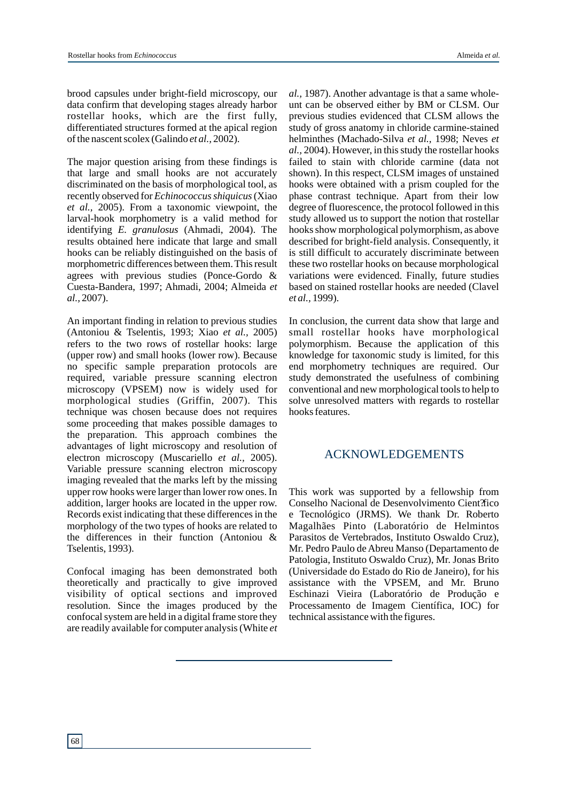brood capsules under bright-field microscopy, our data confirm that developing stages already harbor rostellar hooks, which are the first fully, differentiated structures formed at the apical region of the nascent scolex (Galindo *et al.,* 2002).

The major question arising from these findings is that large and small hooks are not accurately discriminated on the basis of morphological tool, as recently observed for *Echinococcus shiquicus*(Xiao *et al.,* 2005). From a taxonomic viewpoint, the larval-hook morphometry is a valid method for identifying *E. granulosus* (Ahmadi, 2004). The results obtained here indicate that large and small hooks can be reliably distinguished on the basis of morphometric differences between them. This result agrees with previous studies (Ponce-Gordo & Cuesta-Bandera, 1997; Ahmadi, 2004; Almeida *et al.,* 2007).

An important finding in relation to previous studies (Antoniou & Tselentis, 1993; Xiao *et al.,* 2005) refers to the two rows of rostellar hooks: large (upper row) and small hooks (lower row). Because no specific sample preparation protocols are required, variable pressure scanning electron microscopy (VPSEM) now is widely used for morphological studies (Griffin, 2007). This technique was chosen because does not requires some proceeding that makes possible damages to the preparation. This approach combines the advantages of light microscopy and resolution of electron microscopy (Muscariello *et al.,* 2005). Variable pressure scanning electron microscopy imaging revealed that the marks left by the missing upper row hooks were larger than lower row ones. In addition, larger hooks are located in the upper row. Records exist indicating that these differences in the morphology of the two types of hooks are related to the differences in their function (Antoniou & Tselentis, 1993).

Confocal imaging has been demonstrated both theoretically and practically to give improved visibility of optical sections and improved resolution. Since the images produced by the confocal system are held in a digital frame store they are readily available for computer analysis (White *et*  *al.,* 1987). Another advantage is that a same wholeunt can be observed either by BM or CLSM. Our previous studies evidenced that CLSM allows the study of gross anatomy in chloride carmine-stained helminthes (Machado-Silva *et al.,* 1998; Neves *et al.,* 2004). However, in this study the rostellar hooks failed to stain with chloride carmine (data not shown). In this respect, CLSM images of unstained hooks were obtained with a prism coupled for the phase contrast technique. Apart from their low degree of fluorescence, the protocol followed in this study allowed us to support the notion that rostellar hooks show morphological polymorphism, as above described for bright-field analysis. Consequently, it is still difficult to accurately discriminate between these two rostellar hooks on because morphological variations were evidenced. Finally, future studies based on stained rostellar hooks are needed (Clavel *et al.,* 1999).

In conclusion, the current data show that large and small rostellar hooks have morphological polymorphism. Because the application of this knowledge for taxonomic study is limited, for this end morphometry techniques are required. Our study demonstrated the usefulness of combining conventional and new morphological tools to help to solve unresolved matters with regards to rostellar hooks features.

# ACKNOWLEDGEMENTS

This work was supported by a fellowship from Conselho Nacional de Desenvolvimento Cient?fico e Tecnológico (JRMS). We thank Dr. Roberto Magalhães Pinto (Laboratório de Helmintos Parasitos de Vertebrados, Instituto Oswaldo Cruz), Mr. Pedro Paulo de Abreu Manso (Departamento de Patologia, Instituto Oswaldo Cruz), Mr. Jonas Brito (Universidade do Estado do Rio de Janeiro), for his assistance with the VPSEM, and Mr. Bruno Eschinazi Vieira (Laboratório de Produção e Processamento de Imagem Científica, IOC) for technical assistance with the figures.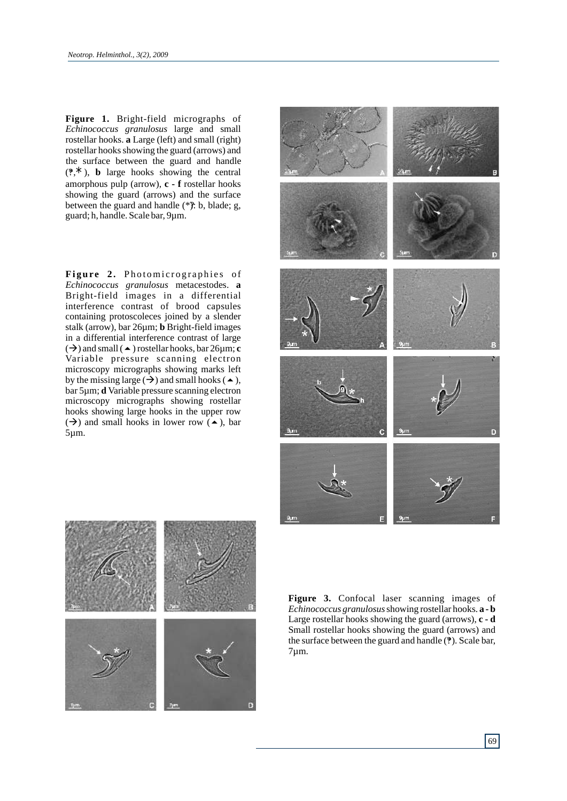**Figure 1.** Bright-field micrographs of *Echinococcus granulosus* large and small rostellar hooks. **a** Large (left) and small (right) rostellar hooks showing the guard (arrows) and the surface between the guard and handle  $(2, \star)$ , **b** large hooks showing the central amorphous pulp (arrow), **c - f** rostellar hooks showing the guard (arrows) and the surface between the guard and handle  $(*\hat{y})$ : b, blade; g, guard; h, handle. Scale bar, 9µm.

**Figure 2.** Photomicrographies of *Echinococcus granulosus* metacestodes. **a** Bright-field images in a differential interference contrast of brood capsules containing protoscoleces joined by a slender stalk (arrow), bar 26µm; **b** Bright-field images in a differential interference contrast of large  $(\rightarrow)$  and small ( $\rightarrow$ ) rostellar hooks, bar 26 $\mu$ m; **c** Variable pressure scanning electron microscopy micrographs showing marks left by the missing large  $(\rightarrow)$  and small hooks ( $\rightarrow$ ), bar 5µm; **d** Variable pressure scanning electron microscopy micrographs showing rostellar hooks showing large hooks in the upper row  $(\rightarrow)$  and small hooks in lower row  $(\rightarrow)$ , bar 5µm.





**Figure 3.** Confocal laser scanning images of *Echinococcus granulosus*showing rostellar hooks. **a - b**  Large rostellar hooks showing the guard (arrows), **c - d** Small rostellar hooks showing the guard (arrows) and the surface between the guard and handle (?). Scale bar, 7µm.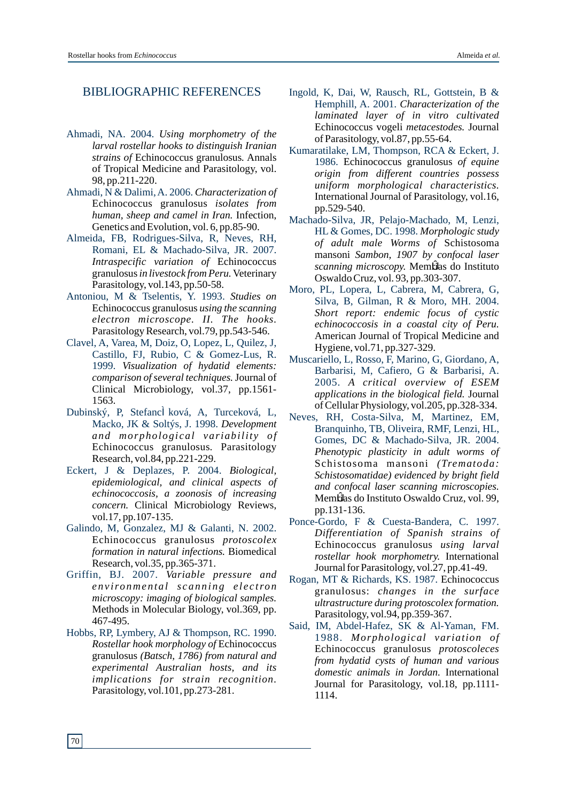# BIBLIOGRAPHIC REFERENCES

- Ahmadi, NA. 2004. *Using morphometry of the larval rostellar hooks to distinguish Iranian strains of* Echinococcus granulosus*.* Annals of Tropical Medicine and Parasitology, vol. 98, pp.211-220.
- Ahmadi, N & Dalimi, A. 2006. *Characterization of*  Echinococcus granulosus *isolates from human, sheep and camel in Iran.* Infection, Genetics and Evolution, vol. 6, pp.85-90.
- Almeida, FB, Rodrigues-Silva, R, Neves, RH, Romani, EL & Machado-Silva, JR. 2007. *Intraspecific variation of* Echinococcus granulosus*in livestock from Peru.*Veterinary Parasitology, vol.143, pp.50-58.
- Antoniou, M & Tselentis, Y. 1993. *Studies on*  Echinococcus granulosus *using the scanning electron microscope. II. The hooks.* Parasitology Research, vol.79, pp.543-546.
- Clavel, A, Varea, M, Doiz, O, Lopez, L, Quilez, J, Castillo, FJ, Rubio, C & Gomez-Lus, R. 1999. *Visualization of hydatid elements: comparison of several techniques.*Journal of Clinical Microbiology, vol.37, pp.1561- 1563.
- Dubinský, P, Stefancl ková, A, Turceková, L, Macko, JK & Soltýs, J. 1998. *Development and morphological variability of* Echinococcus granulosus*.* Parasitology Research, vol.84, pp.221-229.
- Eckert, J & Deplazes, P. 2004. *Biological, epidemiological, and clinical aspects of echinococcosis, a zoonosis of increasing concern.* Clinical Microbiology Reviews, vol.17, pp.107-135.
- Galindo, M, Gonzalez, MJ & Galanti, N. 2002. Echinococcus granulosus *protoscolex formation in natural infections.* Biomedical Research, vol.35, pp.365-371.
- Griffin, BJ. 2007. *Variable pressure and e n v iro nme n t a l s c a n n i n g e l e c tro n microscopy: imaging of biological samples.* Methods in Molecular Biology, vol.369, pp. 467-495.
- Hobbs, RP, Lymbery, AJ & Thompson, RC. 1990. *Rostellar hook morphology of* Echinococcus granulosus *(Batsch, 1786) from natural and experimental Australian hosts, and its implications for strain recognition.* Parasitology, vol.101, pp.273-281.
- Ingold, K, Dai, W, Rausch, RL, Gottstein, B & Hemphill, A. 2001. *Characterization of the laminated layer of in vitro cultivated* Echinococcus vogeli *metacestodes.* Journal of Parasitology, vol.87, pp.55-64.
- Kumaratilake, LM, Thompson, RCA & Eckert, J. 1986. Echinococcus granulosus *of equine origin from different countries possess uniform morphological characteristics.* International Journal of Parasitology, vol.16, pp.529-540.
- Machado-Silva, JR, Pelajo-Machado, M, Lenzi, HL & Gomes, DC. 1998. *Morphologic study of adult male Worms of* Schistosoma mansoni *Sambon, 1907 by confocal laser scanning microscopy.* Mem**û**as do Instituto Oswaldo Cruz, vol. 93, pp.303-307.
- Moro, PL, Lopera, L, Cabrera, M, Cabrera, G, Silva, B, Gilman, R & Moro, MH. 2004. *Short report: endemic focus of cystic echinococcosis in a coastal city of Peru.* American Journal of Tropical Medicine and Hygiene, vol.71, pp.327-329.
- Muscariello, L, Rosso, F, Marino, G, Giordano, A, Barbarisi, M, Cafiero, G & Barbarisi, A. 2005. *A critical overview of ESEM applications in the biological field.* Journal of Cellular Physiology, vol.205, pp.328-334.
- Neves, RH, Costa-Silva, M, Martinez, EM, Branquinho, TB, Oliveira, RMF, Lenzi, HL, Gomes, DC & Machado-Silva, JR. 2004. *Phenotypic plasticity in adult worms of*  Schistosoma mansoni *(Trematoda: Schistosomatidae) evidenced by bright field and confocal laser scanning microscopies.* Memblas do Instituto Oswaldo Cruz, vol. 99, pp.131-136.
- Ponce-Gordo, F & Cuesta-Bandera, C. 1997. *Differentiation of Spanish strains of* Echinococcus granulosus *using larval rostellar hook morphometry.* International Journal for Parasitology, vol.27, pp.41-49.
- Rogan, MT & Richards, KS. 1987. Echinococcus granulosus: *changes in the surface ultrastructure during protoscolex formation.*  Parasitology, vol.94, pp.359-367.
- Said, IM, Abdel-Hafez, SK & Al-Yaman, FM. 1988. *Morphological variation of* Echinococcus granulosus *protoscoleces from hydatid cysts of human and various domestic animals in Jordan.* International Journal for Parasitology, vol.18, pp.1111- 1114.

70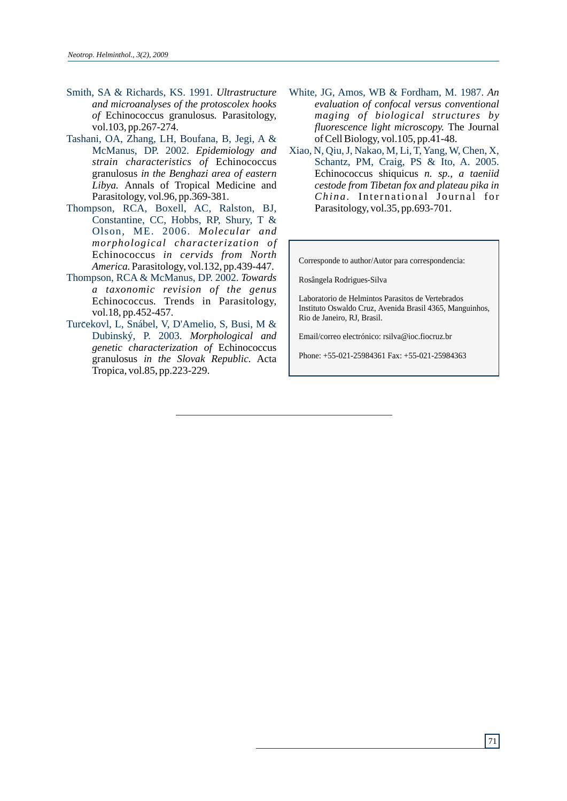- Smith, SA & Richards, KS. 1991. *Ultrastructure and microanalyses of the protoscolex hooks of* Echinococcus granulosus*.* Parasitology, vol.103, pp.267-274.
- Tashani, OA, Zhang, LH, Boufana, B, Jegi, A & McManus, DP. 2002. *Epidemiology and strain characteristics of* Echinococcus granulosus *in the Benghazi area of eastern Libya.* Annals of Tropical Medicine and Parasitology, vol.96, pp.369-381.
- Thompson, RCA, Boxell, AC, Ralston, BJ, Constantine, CC, Hobbs, RP, Shury, T & Olson, ME. 2006. *Molecular and morphological characterization of* Echinococcus *in cervids from North America.* Parasitology, vol.132, pp.439-447.
- Thompson, RCA & McManus, DP. 2002. *Towards a taxonomic revision of the genus* Echinococcus*.* Trends in Parasitology, vol.18, pp.452-457.
- Turčekovl, L, Snábel, V, D'Amelio, S, Busi, M & Dubinský, P. 2003. *Morphological and genetic characterization of* Echinococcus granulosus *in the Slovak Republic.* Acta Tropica, vol.85, pp.223-229.
- White, JG, Amos, WB & Fordham, M. 1987. *An evaluation of confocal versus conventional maging of biological structures by fluorescence light microscopy.* The Journal of Cell Biology, vol.105, pp.41-48.
- Xiao, N, Qiu, J, Nakao, M, Li, T, Yang, W, Chen, X, Schantz, PM, Craig, PS & Ito, A. 2005. Echinococcus shiquicus *n. sp., a taeniid cestode from Tibetan fox and plateau pika in China.* International Journal for Parasitology, vol.35, pp.693-701.

Corresponde to author/Autor para correspondencia:

Rosângela Rodrigues-Silva

Laboratorio de Helmintos Parasitos de Vertebrados Instituto Oswaldo Cruz, Avenida Brasil 4365, Manguinhos, Rio de Janeiro, RJ, Brasil.

Email/correo electrónico: rsilva@ioc.fiocruz.br

Phone: +55-021-25984361 Fax: +55-021-25984363